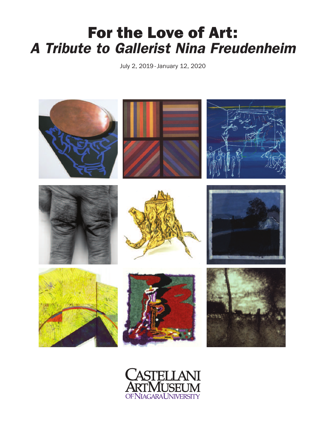# **For the Love of Art:** *A Tribute to Gallerist Nina Freudenheim*

July 2, 2019 -January 12, 2020



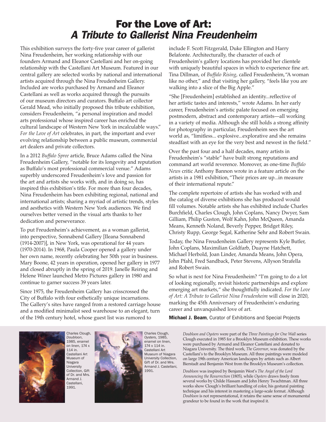## **For the Love of Art:** *A Tribute to Gallerist Nina Freudenheim*

This exhibition surveys the forty-five year career of gallerist Nina Freudenheim, her working relationship with our founders Armand and Eleanor Castellani and her on-going relationship with the Castellani Art Museum. Featured in our central gallery are selected works by national and international artists acquired through the Nina Freudenheim Gallery. Included are works purchased by Armand and Eleanor Castellani as well as works acquired through the pursuits of our museum directors and curators. Buffalo art collector Gerald Mead, who initially proposed this tribute exhibition, considers Freudenheim, "a personal inspiration and model arts professional whose inspired career has enriched the cultural landscape of Western New York in incalculable ways." *For the Love of Art* celebrates, in part, the important and ever evolving relationship between a public museum, commercial art dealers and private collectors.

In a 2012 *Buffalo Spree* article, Bruce Adams called the Nina Freudenheim Gallery, "notable for its longevity and reputation as Buffalo's most professional commercial venue." Adams superbly underscored Freudenheim's love and passion for the art and artists she works with, and in doing so, has inspired this exhibition's title. For more than four decades, Nina Freudenheim has been exhibiting regional, national and international artists; sharing a myriad of artistic trends, styles and aesthetics with Western New York audiences. We find ourselves better versed in the visual arts thanks to her dedication and perseverance.

To put Freudenheim's achievement, as a woman gallerist, into perspective, Sonnabend Gallery [Ileana Sonnabend (1914-2007)], in New York, was operational for 44 years (1970-2014). In 1968, Paula Cooper opened a gallery under her own name, recently celebrating her 50th year in business. Mary Boone, 42 years in operation, opened her gallery in 1977 and closed abruptly in the spring of 2019. Janelle Reiring and Helene Winer launched Metro Pictures gallery in 1980 and continue to garner success 39 years later.

Since 1975, the Freudenheim Gallery has crisscrossed the City of Buffalo with four esthetically unique incarnations. The Gallery's sites have ranged from a restored carriage house and a modified minimalist seed warehouse to an elegant, turn of the 19th century hotel, whose guest list was rumored to

include F. Scott Fitzgerald, Duke Ellington and Harry Belafonte. Architecturally, the character of each of Freudenheim's gallery locations has provided her clientele with uniquely beautiful spaces in which to experience fine art. Tina Dillman, of *Buffalo Rising*, called Freudenheim,"A woman like no other," and that visiting her gallery, "feels like you are walking into a slice of the Big Apple."

"She [Freudenheim] established an identity...reflective of her artistic tastes and interests," wrote Adams. In her early career, Freudenheim's artistic palate focused on emerging postmodern, abstract and contemporary artists—all working in a variety of media. Although she still holds a strong affinity for photography in particular, Freudenheim sees the art world as, "limitless... explosive...explorative and she remains steadfast with an eye for the very best and newest in the field."

Over the past four and a half decades, many artists in Freudenheim's "stable" have built strong reputations and command art world reverence. Moreover, as one-time *Buffalo News* critic Anthony Bannon wrote in a feature article on the artists in a 1981 exhibition,"Their prices are up...in measure of their international repute."

The complete repertoire of artists she has worked with and the catalog of diverse exhibitions she has produced would fill volumes. Notable artists she has exhibited include Charles Burchfield, Charles Clough, John Coplans, Nancy Dwyer, Sam Gilliam, Philip Guston, Wolf Kahn, John McQueen, Amanda Means, Kenneth Noland, Beverly Pepper, Bridget Riley, Christy Rupp, George Segal, Katherine Sehr and Robert Swain.

Today, the Nina Freudenheim Gallery represents Kyle Butler, John Coplans, Maximilian Goldfarb, Duayne Hatchett, Michael Herbold, Joan Linder, Amanda Means, John Opera, John Pfahl, Fred Sandback, Peter Stevens, Allyson Strafella and Robert Swain.

So what is next for Nina Freudenheim? "I'm going to do a lot of looking regionally, revisit historic partnerships and explore emerging art markets," she thoughtfully indicated. *For the Love of Art: A Tribute to Gallerist Nina Freudenheim* will close in 2020, marking the 45th Anniversary of Freudenheim's enduring career and unvanquished love of art.

**Michael J. Beam**, Curator of Exhibitions and Special Projects



*Doubloon*, 1985, enamel on linen, 174 x 114 in. Castellani Art Museum of Niagara University Collection, Gift of Dr. and Mrs. Armand J. Castellani, 1991.

Charles Clough,



Charles Clough, *Oysters*, 1985, enamel on linen, 174 x 114 in. Castellani Art Museum of Niagara University Collection, Gift of Dr. and Mrs. Armand J. Castellani, 1991.

*Doubloon and Oysters* were part of the *Three Paintings for One Wall* series Clough executed in 1985 for a Brooklyn Museum exhibition. These works were purchased by Armand and Eleanor Castellani and donated to Niagara University. The third work, *The Governor*, was donated by the Castellani's to the Brooklyn Museum. All three paintings were modeled on large 19th century American landscapes by artists such as Albert Bierstadt and Benjamin West from the Brooklyn Museum's collection.

*Doubloon* was inspired by Benjamin West's *The Angel of the Lord Announcing the Resurrection* (1805), while *Oysters* draws freely from several works by Childe Hassam and John Henry Twachtman. All three works show Clough's brilliant handling of color, his gestural painting technique and his interest in mastering a large-scale format. Although *Doubloon* is not representational, it retains the same sense of monumental grandeur to be found in the work that inspired it.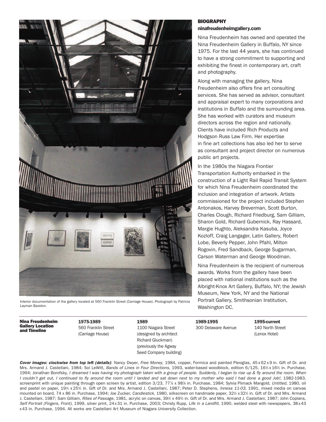

Interior documentation of the gallery located at 560 Franklin Street (Carriage House). Photograph by Patricia Layman Bazelon.

**Nina Freudenheim Gallery Location and Timeline**

**1975-1989** 560 Franklin Street (Carriage House)

**1989** 1100 Niagara Street (designed by architect Richard Gluckman) (previously the Agway Seed Company building) **1989-1995** 300 Delaware Avenue **1995-current** 140 North Street (Lenox Hotel)

## **BIOGRAPHY**

### **ninafreudenheimgallery.com**

Nina Freudenheim has owned and operated the Nina Freudenheim Gallery in Buffalo, NY since 1975. For the last 44 years, she has continued to have a strong commitment to supporting and exhibiting the finest in contemporary art, craft and photography.

Along with managing the gallery, Nina Freudenheim also offers fine art consulting services. She has served as advisor, consultant and appraisal expert to many corporations and institutions in Buffalo and the surrounding area. She has worked with curators and museum directors across the region and nationally. Clients have included Rich Products and Hodgson Russ Law Firm. Her expertise in fine art collections has also led her to serve as consultant and project director on numerous public art projects.

In the 1980s the Niagara Frontier Transportation Authority embarked in the construction of a Light Rail Rapid Transit System for which Nina Freudenheim coordinated the inclusion and integration of artwork. Artists commissioned for the project included Stephen Antonakos, Harvey Breverman, Scott Burton, Charles Clough, Richard Friedburg, Sam Gilliam, Sharon Gold, Richard Gubernick, Ray Hassard, Margie Hughto, Aleksandra Kasuba, Joyce Kozloff, Craig Langager, Latin Gallery, Robert Lobe, Beverly Pepper, John Pfahl, Milton Rogovin, Fred Sandback, George Sugarman, Carson Waterman and George Woodman.

Nina Freudenheim is the recipient of numerous awards. Works from the gallery have been placed with national institutions such as the Albright-Knox Art Gallery, Buffalo, NY; the Jewish Museum, New York, NY and the National Portrait Gallery, Smithsonian Institution, Washington DC.

*Cover images: clockwise from top left (details)*: Nancy Dwyer, *Free Money*, 1984, copper, Formica and painted Plexiglas, 45 x 62 x 9 in. Gift of Dr. and Mrs. Armand J. Castellani, 1984; Sol LeWitt, *Bands of Lines in Four Directions*, 1993, water-based woodblock, edition 6/125, 161 ⁄2 x 161 ⁄2 in. Purchase, 1994; Jonathan Borofsky, I dreamed I was having my photograph taken with a group of people. Suddenly, I began to rise up & fly around the room. When I couldn't get out, I continued to fly around the room until I landed and sat down next to my mother who said I had done a good Job!, 1982-1983, screenprint with unique painting through open screen by artist, edition 3/23, 77% x 98% in, Purchase, 1984; Sylvia Plimack Mangold, Untitled, 1980, oil and pastel on paper, 191 ⁄4 x 253 ⁄4 in. Gift of Dr. and Mrs. Armand J. Castellani, 1987; Peter D. Stephens, *Inness 11-03*, 1991, mixed media on canvas mounted on board, 74 x 86 in, Purchase, 1994; Joe Zucker, *Candlestick*, 1980, silkscreen on handmade paper, 32½ x 32½ in, Gift of Dr. and Mrs. Armand J. Castellani, 1987; Sam Gilliam, *Rites of Passage*, 1981, acrylic on canvas, 391 ⁄2 x 493 ⁄4 in. Gift of Dr. and Mrs. Armand J. Castellani, 1987; John Coplans, *Self Portrait (Fingers, Front)*, 1999, silver print, 24x31 in. Purchase, 2003; Christy Rupp, *Life in a Landfill*, 1990, welded steel with newspapers, 38x43 x 43 in. Purchase, 1994. All works are Castellani Art Museum of Niagara University Collection.